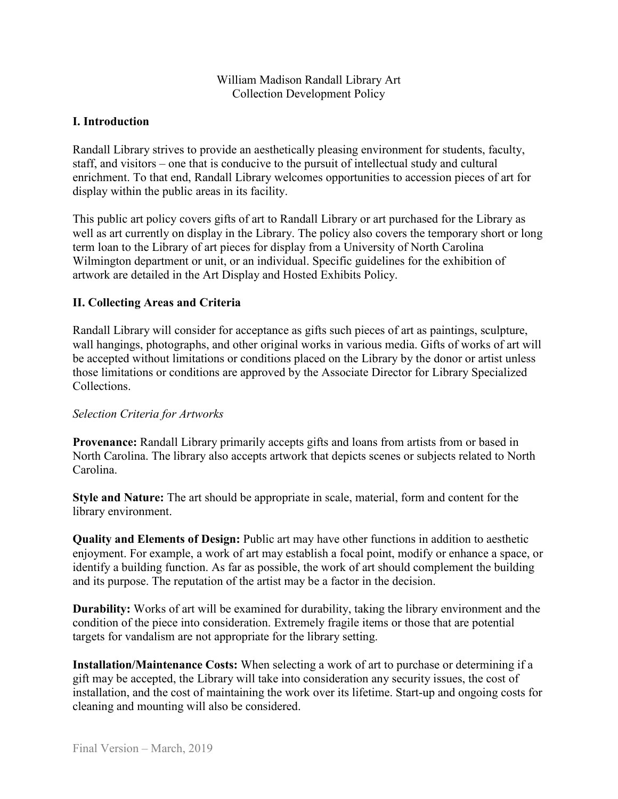#### William Madison Randall Library Art Collection Development Policy

#### **I. Introduction**

Randall Library strives to provide an aesthetically pleasing environment for students, faculty, staff, and visitors – one that is conducive to the pursuit of intellectual study and cultural enrichment. To that end, Randall Library welcomes opportunities to accession pieces of art for display within the public areas in its facility.

This public art policy covers gifts of art to Randall Library or art purchased for the Library as well as art currently on display in the Library. The policy also covers the temporary short or long term loan to the Library of art pieces for display from a University of North Carolina Wilmington department or unit, or an individual. Specific guidelines for the exhibition of artwork are detailed in the Art Display and Hosted Exhibits Policy.

#### **II. Collecting Areas and Criteria**

Randall Library will consider for acceptance as gifts such pieces of art as paintings, sculpture, wall hangings, photographs, and other original works in various media. Gifts of works of art will be accepted without limitations or conditions placed on the Library by the donor or artist unless those limitations or conditions are approved by the Associate Director for Library Specialized Collections.

#### *Selection Criteria for Artworks*

**Provenance:** Randall Library primarily accepts gifts and loans from artists from or based in North Carolina. The library also accepts artwork that depicts scenes or subjects related to North Carolina.

**Style and Nature:** The art should be appropriate in scale, material, form and content for the library environment.

**Quality and Elements of Design:** Public art may have other functions in addition to aesthetic enjoyment. For example, a work of art may establish a focal point, modify or enhance a space, or identify a building function. As far as possible, the work of art should complement the building and its purpose. The reputation of the artist may be a factor in the decision.

**Durability:** Works of art will be examined for durability, taking the library environment and the condition of the piece into consideration. Extremely fragile items or those that are potential targets for vandalism are not appropriate for the library setting.

**Installation/Maintenance Costs:** When selecting a work of art to purchase or determining if a gift may be accepted, the Library will take into consideration any security issues, the cost of installation, and the cost of maintaining the work over its lifetime. Start-up and ongoing costs for cleaning and mounting will also be considered.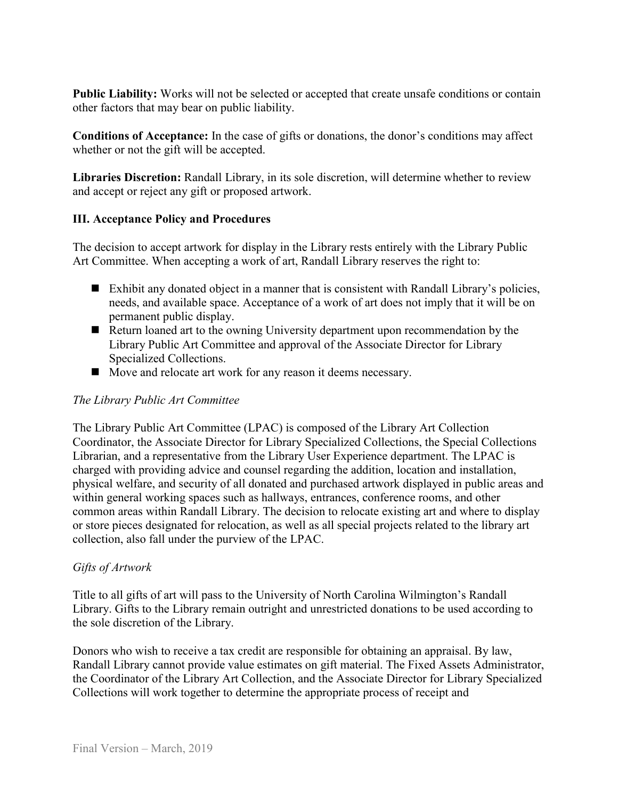**Public Liability:** Works will not be selected or accepted that create unsafe conditions or contain other factors that may bear on public liability.

**Conditions of Acceptance:** In the case of gifts or donations, the donor's conditions may affect whether or not the gift will be accepted.

**Libraries Discretion:** Randall Library, in its sole discretion, will determine whether to review and accept or reject any gift or proposed artwork.

# **III. Acceptance Policy and Procedures**

The decision to accept artwork for display in the Library rests entirely with the Library Public Art Committee. When accepting a work of art, Randall Library reserves the right to:

- Exhibit any donated object in a manner that is consistent with Randall Library's policies, needs, and available space. Acceptance of a work of art does not imply that it will be on permanent public display.
- Return loaned art to the owning University department upon recommendation by the Library Public Art Committee and approval of the Associate Director for Library Specialized Collections.
- Move and relocate art work for any reason it deems necessary.

# *The Library Public Art Committee*

The Library Public Art Committee (LPAC) is composed of the Library Art Collection Coordinator, the Associate Director for Library Specialized Collections, the Special Collections Librarian, and a representative from the Library User Experience department. The LPAC is charged with providing advice and counsel regarding the addition, location and installation, physical welfare, and security of all donated and purchased artwork displayed in public areas and within general working spaces such as hallways, entrances, conference rooms, and other common areas within Randall Library. The decision to relocate existing art and where to display or store pieces designated for relocation, as well as all special projects related to the library art collection, also fall under the purview of the LPAC.

## *Gifts of Artwork*

Title to all gifts of art will pass to the University of North Carolina Wilmington's Randall Library. Gifts to the Library remain outright and unrestricted donations to be used according to the sole discretion of the Library.

Donors who wish to receive a tax credit are responsible for obtaining an appraisal. By law, Randall Library cannot provide value estimates on gift material. The Fixed Assets Administrator, the Coordinator of the Library Art Collection, and the Associate Director for Library Specialized Collections will work together to determine the appropriate process of receipt and